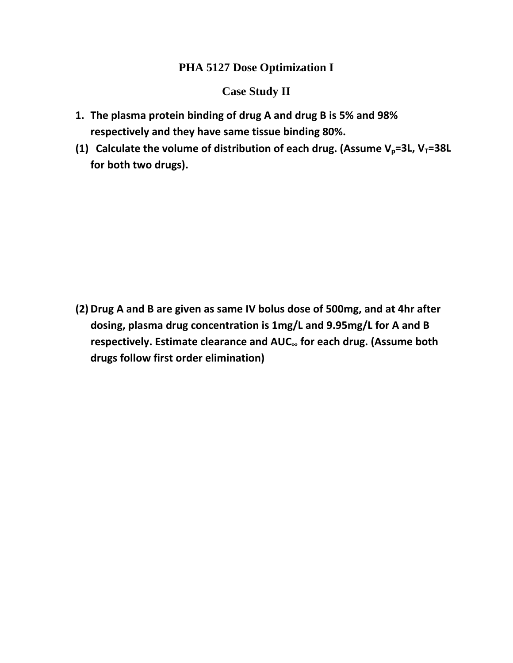## **PHA 5127 Dose Optimization I**

## **Case Study II**

- **1. The plasma protein binding of drug A and drug B is 5% and 98% respectively and they have same tissue binding 80%.**
- **(1)** Calculate the volume of distribution of each drug. (Assume  $V_p = 3L$ ,  $V_T = 38L$ **for both two drugs).**

**(2)Drug A and B are given as same IV bolus dose of 500mg, and at 4hr after dosing, plasma drug concentration is 1mg/L and 9.95mg/L for A and B respectively. Estimate clearance and AUC<sup>∞</sup> for each drug. (Assume both drugs follow first order elimination)**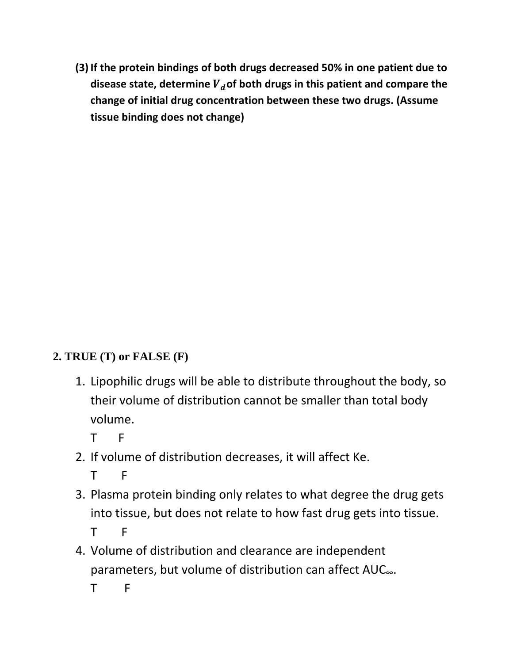**(3)If the protein bindings of both drugs decreased 50% in one patient due to disease state, determine** ࢊࢂ**of both drugs in this patient and compare the change of initial drug concentration between these two drugs. (Assume tissue binding does not change)**

## **2. TRUE (T) or FALSE (F)**

1. Lipophilic drugs will be able to distribute throughout the body, so their volume of distribution cannot be smaller than total body volume.

T F

2. If volume of distribution decreases, it will affect Ke.

T F

- 3. Plasma protein binding only relates to what degree the drug gets into tissue, but does not relate to how fast drug gets into tissue. T F
- 4. Volume of distribution and clearance are independent parameters, but volume of distribution can affect AUC∞.

T F